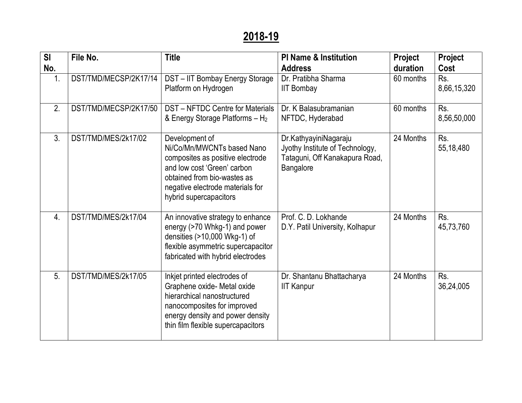## **2018-19**

| SI<br>No.        | File No.              | <b>Title</b>                                                                                                                                                                                                 | <b>PI Name &amp; Institution</b><br><b>Address</b>                                                      | Project<br>duration | Project<br>Cost    |
|------------------|-----------------------|--------------------------------------------------------------------------------------------------------------------------------------------------------------------------------------------------------------|---------------------------------------------------------------------------------------------------------|---------------------|--------------------|
| 1.               | DST/TMD/MECSP/2K17/14 | DST-IIT Bombay Energy Storage<br>Platform on Hydrogen                                                                                                                                                        | Dr. Pratibha Sharma<br><b>IIT Bombay</b>                                                                | 60 months           | Rs.<br>8,66,15,320 |
| 2.               | DST/TMD/MECSP/2K17/50 | <b>DST-NFTDC Centre for Materials</b><br>& Energy Storage Platforms $- H_2$                                                                                                                                  | Dr. K Balasubramanian<br>NFTDC, Hyderabad                                                               | 60 months           | Rs.<br>8,56,50,000 |
| 3.               | DST/TMD/MES/2k17/02   | Development of<br>Ni/Co/Mn/MWCNTs based Nano<br>composites as positive electrode<br>and low cost 'Green' carbon<br>obtained from bio-wastes as<br>negative electrode materials for<br>hybrid supercapacitors | Dr.KathyayiniNagaraju<br>Jyothy Institute of Technology,<br>Tataguni, Off Kanakapura Road,<br>Bangalore | 24 Months           | Rs.<br>55,18,480   |
| $\overline{4}$ . | DST/TMD/MES/2k17/04   | An innovative strategy to enhance<br>energy (>70 Whkg-1) and power<br>densities (>10,000 Wkg-1) of<br>flexible asymmetric supercapacitor<br>fabricated with hybrid electrodes                                | Prof. C. D. Lokhande<br>D.Y. Patil University, Kolhapur                                                 | 24 Months           | Rs.<br>45,73,760   |
| 5.               | DST/TMD/MES/2k17/05   | Inkjet printed electrodes of<br>Graphene oxide- Metal oxide<br>hierarchical nanostructured<br>nanocomposites for improved<br>energy density and power density<br>thin film flexible supercapacitors          | Dr. Shantanu Bhattacharya<br><b>IIT Kanpur</b>                                                          | 24 Months           | Rs.<br>36,24,005   |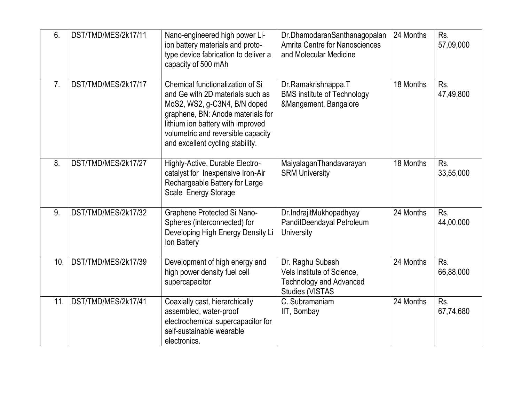| 6.             | DST/TMD/MES/2k17/11 | Nano-engineered high power Li-<br>ion battery materials and proto-<br>type device fabrication to deliver a<br>capacity of 500 mAh                                                                                                                        | Dr.DhamodaranSanthanagopalan<br><b>Amrita Centre for Nanosciences</b><br>and Molecular Medicine            | 24 Months | Rs.<br>57,09,000 |
|----------------|---------------------|----------------------------------------------------------------------------------------------------------------------------------------------------------------------------------------------------------------------------------------------------------|------------------------------------------------------------------------------------------------------------|-----------|------------------|
| 7 <sub>1</sub> | DST/TMD/MES/2k17/17 | Chemical functionalization of Si<br>and Ge with 2D materials such as<br>MoS2, WS2, g-C3N4, B/N doped<br>graphene, BN: Anode materials for<br>lithium ion battery with improved<br>volumetric and reversible capacity<br>and excellent cycling stability. | Dr.Ramakrishnappa.T<br><b>BMS institute of Technology</b><br>&Mangement, Bangalore                         | 18 Months | Rs.<br>47,49,800 |
| 8.             | DST/TMD/MES/2k17/27 | Highly-Active, Durable Electro-<br>catalyst for Inexpensive Iron-Air<br>Rechargeable Battery for Large<br>Scale Energy Storage                                                                                                                           | MaiyalaganThandavarayan<br><b>SRM University</b>                                                           | 18 Months | Rs.<br>33,55,000 |
| 9.             | DST/TMD/MES/2k17/32 | Graphene Protected Si Nano-<br>Spheres (interconnected) for<br>Developing High Energy Density Li<br>Ion Battery                                                                                                                                          | Dr.IndrajitMukhopadhyay<br>PanditDeendayal Petroleum<br><b>University</b>                                  | 24 Months | Rs.<br>44,00,000 |
| 10.            | DST/TMD/MES/2k17/39 | Development of high energy and<br>high power density fuel cell<br>supercapacitor                                                                                                                                                                         | Dr. Raghu Subash<br>Vels Institute of Science,<br><b>Technology and Advanced</b><br><b>Studies (VISTAS</b> | 24 Months | Rs.<br>66,88,000 |
| 11.            | DST/TMD/MES/2k17/41 | Coaxially cast, hierarchically<br>assembled, water-proof<br>electrochemical supercapacitor for<br>self-sustainable wearable<br>electronics.                                                                                                              | C. Subramaniam<br>IIT, Bombay                                                                              | 24 Months | Rs.<br>67,74,680 |